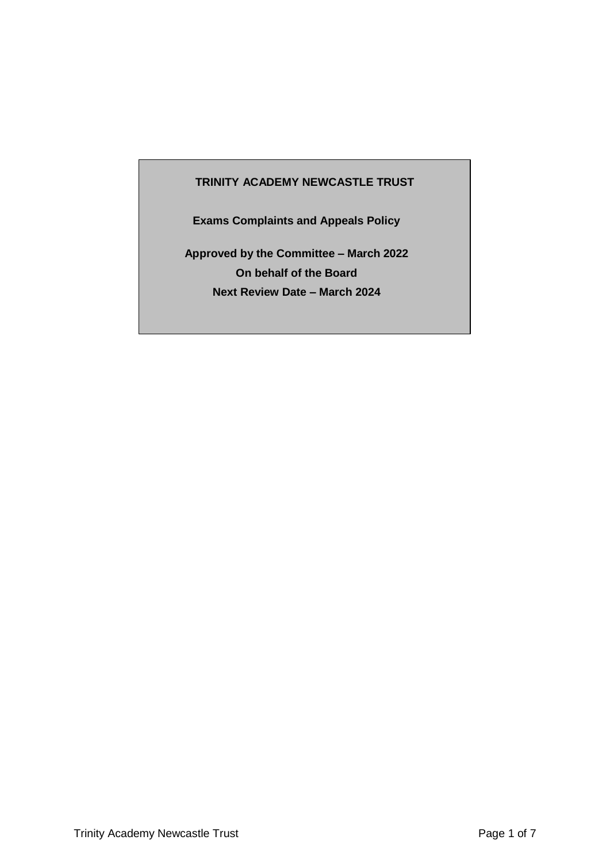## **TRINITY ACADEMY NEWCASTLE TRUST**

**Exams Complaints and Appeals Policy**

**Approved by the Committee – March 2022 On behalf of the Board Next Review Date – March 2024**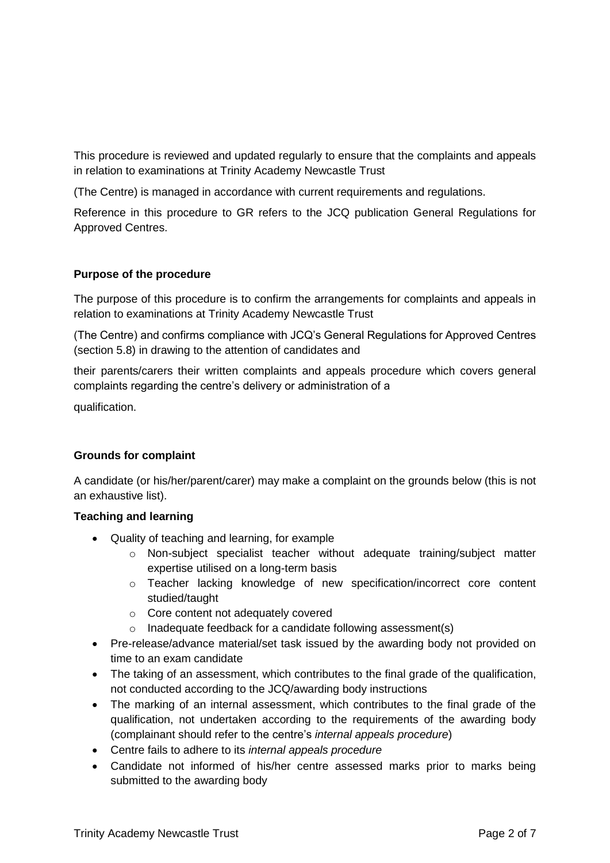This procedure is reviewed and updated regularly to ensure that the complaints and appeals in relation to examinations at Trinity Academy Newcastle Trust

(The Centre) is managed in accordance with current requirements and regulations.

Reference in this procedure to GR refers to the JCQ publication General Regulations for Approved Centres.

### **Purpose of the procedure**

The purpose of this procedure is to confirm the arrangements for complaints and appeals in relation to examinations at Trinity Academy Newcastle Trust

(The Centre) and confirms compliance with JCQ's General Regulations for Approved Centres (section 5.8) in drawing to the attention of candidates and

their parents/carers their written complaints and appeals procedure which covers general complaints regarding the centre's delivery or administration of a

qualification.

#### **Grounds for complaint**

A candidate (or his/her/parent/carer) may make a complaint on the grounds below (this is not an exhaustive list).

#### **Teaching and learning**

- Quality of teaching and learning, for example
	- o Non-subject specialist teacher without adequate training/subject matter expertise utilised on a long-term basis
	- o Teacher lacking knowledge of new specification/incorrect core content studied/taught
	- o Core content not adequately covered
	- $\circ$  Inadequate feedback for a candidate following assessment(s)
- Pre-release/advance material/set task issued by the awarding body not provided on time to an exam candidate
- The taking of an assessment, which contributes to the final grade of the qualification, not conducted according to the JCQ/awarding body instructions
- The marking of an internal assessment, which contributes to the final grade of the qualification, not undertaken according to the requirements of the awarding body (complainant should refer to the centre's *internal appeals procedure*)
- Centre fails to adhere to its *internal appeals procedure*
- Candidate not informed of his/her centre assessed marks prior to marks being submitted to the awarding body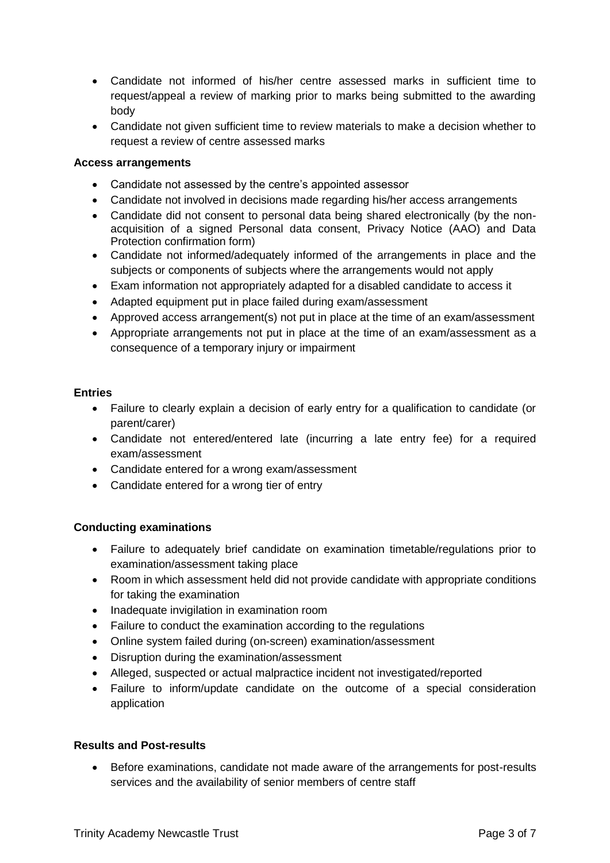- Candidate not informed of his/her centre assessed marks in sufficient time to request/appeal a review of marking prior to marks being submitted to the awarding body
- Candidate not given sufficient time to review materials to make a decision whether to request a review of centre assessed marks

#### **Access arrangements**

- Candidate not assessed by the centre's appointed assessor
- Candidate not involved in decisions made regarding his/her access arrangements
- Candidate did not consent to personal data being shared electronically (by the nonacquisition of a signed Personal data consent, Privacy Notice (AAO) and Data Protection confirmation form)
- Candidate not informed/adequately informed of the arrangements in place and the subjects or components of subjects where the arrangements would not apply
- Exam information not appropriately adapted for a disabled candidate to access it
- Adapted equipment put in place failed during exam/assessment
- Approved access arrangement(s) not put in place at the time of an exam/assessment
- Appropriate arrangements not put in place at the time of an exam/assessment as a consequence of a temporary injury or impairment

#### **Entries**

- Failure to clearly explain a decision of early entry for a qualification to candidate (or parent/carer)
- Candidate not entered/entered late (incurring a late entry fee) for a required exam/assessment
- Candidate entered for a wrong exam/assessment
- Candidate entered for a wrong tier of entry

#### **Conducting examinations**

- Failure to adequately brief candidate on examination timetable/regulations prior to examination/assessment taking place
- Room in which assessment held did not provide candidate with appropriate conditions for taking the examination
- Inadequate invigilation in examination room
- Failure to conduct the examination according to the regulations
- Online system failed during (on-screen) examination/assessment
- Disruption during the examination/assessment
- Alleged, suspected or actual malpractice incident not investigated/reported
- Failure to inform/update candidate on the outcome of a special consideration application

#### **Results and Post-results**

 Before examinations, candidate not made aware of the arrangements for post-results services and the availability of senior members of centre staff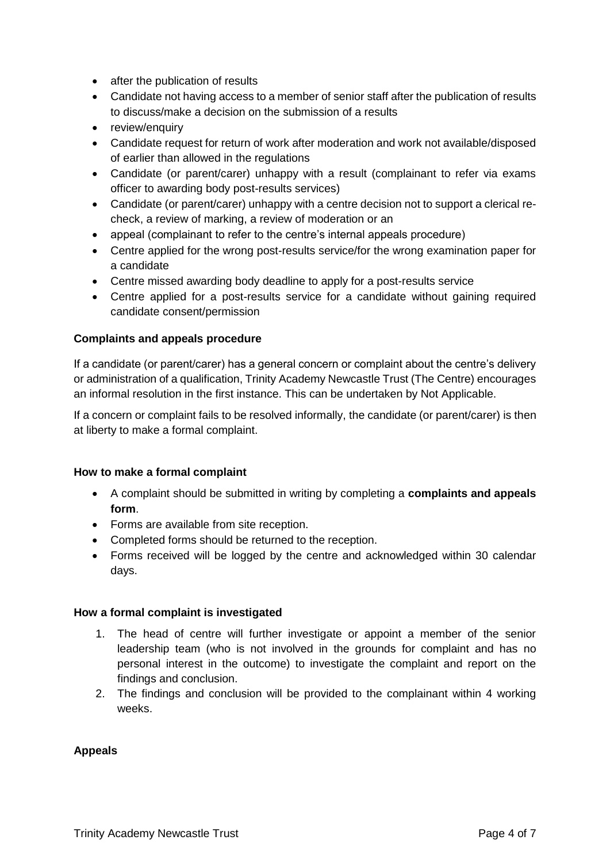- after the publication of results
- Candidate not having access to a member of senior staff after the publication of results to discuss/make a decision on the submission of a results
- review/enquiry
- Candidate request for return of work after moderation and work not available/disposed of earlier than allowed in the regulations
- Candidate (or parent/carer) unhappy with a result (complainant to refer via exams officer to awarding body post-results services)
- Candidate (or parent/carer) unhappy with a centre decision not to support a clerical recheck, a review of marking, a review of moderation or an
- appeal (complainant to refer to the centre's internal appeals procedure)
- Centre applied for the wrong post-results service/for the wrong examination paper for a candidate
- Centre missed awarding body deadline to apply for a post-results service
- Centre applied for a post-results service for a candidate without gaining required candidate consent/permission

#### **Complaints and appeals procedure**

If a candidate (or parent/carer) has a general concern or complaint about the centre's delivery or administration of a qualification, Trinity Academy Newcastle Trust (The Centre) encourages an informal resolution in the first instance. This can be undertaken by Not Applicable.

If a concern or complaint fails to be resolved informally, the candidate (or parent/carer) is then at liberty to make a formal complaint.

#### **How to make a formal complaint**

- A complaint should be submitted in writing by completing a **complaints and appeals form**.
- Forms are available from site reception.
- Completed forms should be returned to the reception.
- Forms received will be logged by the centre and acknowledged within 30 calendar days.

#### **How a formal complaint is investigated**

- 1. The head of centre will further investigate or appoint a member of the senior leadership team (who is not involved in the grounds for complaint and has no personal interest in the outcome) to investigate the complaint and report on the findings and conclusion.
- 2. The findings and conclusion will be provided to the complainant within 4 working weeks.

#### **Appeals**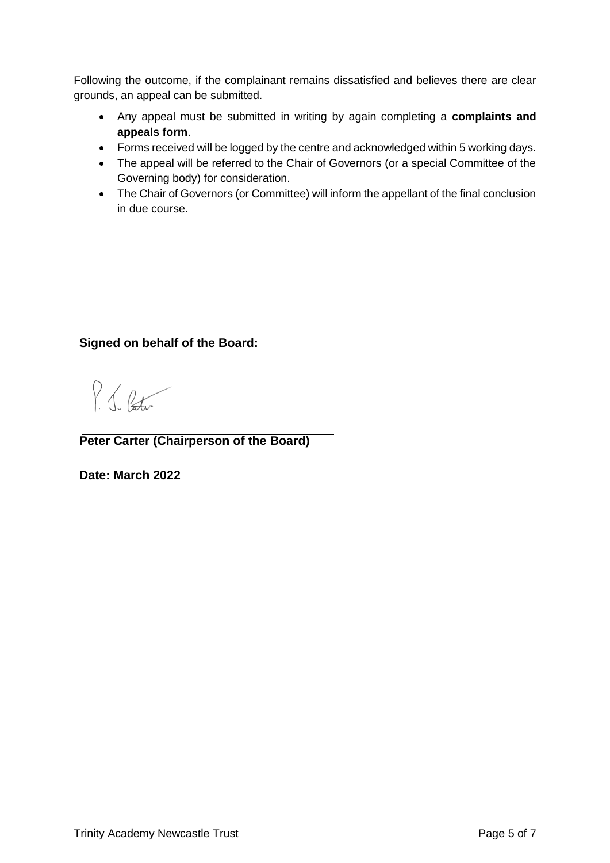Following the outcome, if the complainant remains dissatisfied and believes there are clear grounds, an appeal can be submitted.

- Any appeal must be submitted in writing by again completing a **complaints and appeals form**.
- Forms received will be logged by the centre and acknowledged within 5 working days.
- The appeal will be referred to the Chair of Governors (or a special Committee of the Governing body) for consideration.
- The Chair of Governors (or Committee) will inform the appellant of the final conclusion in due course.

## **Signed on behalf of the Board:**

P. J. Pato

**Peter Carter (Chairperson of the Board)**

**Date: March 2022**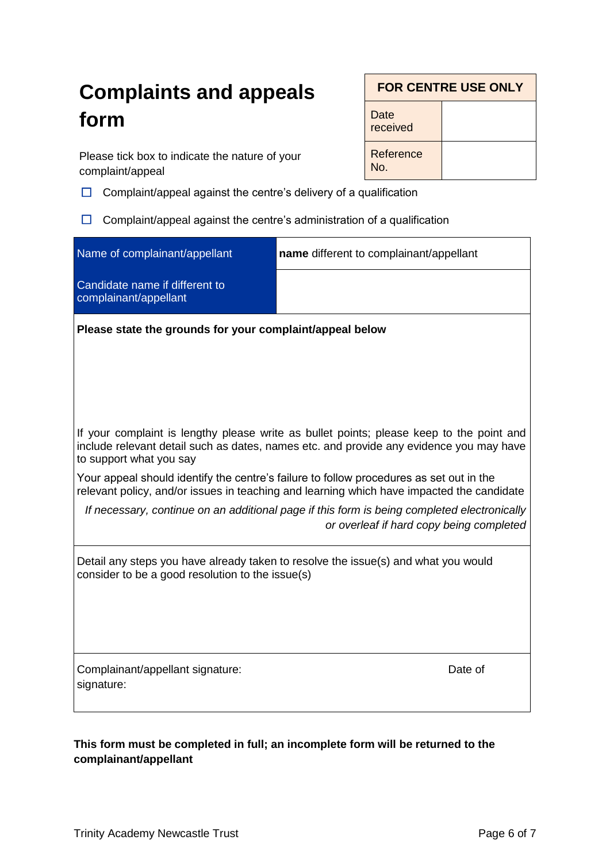# **Complaints and appeals form**

Please tick box to indicate the nature of your complaint/appeal

 $\Box$  Complaint/appeal against the centre's delivery of a qualification

 $\Box$  Complaint/appeal against the centre's administration of a qualification

| Name of complainant/appellant                                                                                                                                                                                  | name different to complainant/appellant                                                                                                 |  |  |  |  |
|----------------------------------------------------------------------------------------------------------------------------------------------------------------------------------------------------------------|-----------------------------------------------------------------------------------------------------------------------------------------|--|--|--|--|
| Candidate name if different to<br>complainant/appellant                                                                                                                                                        |                                                                                                                                         |  |  |  |  |
| Please state the grounds for your complaint/appeal below                                                                                                                                                       |                                                                                                                                         |  |  |  |  |
|                                                                                                                                                                                                                |                                                                                                                                         |  |  |  |  |
|                                                                                                                                                                                                                |                                                                                                                                         |  |  |  |  |
| If your complaint is lengthy please write as bullet points; please keep to the point and<br>include relevant detail such as dates, names etc. and provide any evidence you may have<br>to support what you say |                                                                                                                                         |  |  |  |  |
| Your appeal should identify the centre's failure to follow procedures as set out in the<br>relevant policy, and/or issues in teaching and learning which have impacted the candidate                           |                                                                                                                                         |  |  |  |  |
|                                                                                                                                                                                                                | If necessary, continue on an additional page if this form is being completed electronically<br>or overleaf if hard copy being completed |  |  |  |  |
| Detail any steps you have already taken to resolve the issue(s) and what you would<br>consider to be a good resolution to the issue(s)                                                                         |                                                                                                                                         |  |  |  |  |
|                                                                                                                                                                                                                |                                                                                                                                         |  |  |  |  |
|                                                                                                                                                                                                                |                                                                                                                                         |  |  |  |  |
| Complainant/appellant signature:<br>signature:                                                                                                                                                                 | Date of                                                                                                                                 |  |  |  |  |
|                                                                                                                                                                                                                |                                                                                                                                         |  |  |  |  |

**This form must be completed in full; an incomplete form will be returned to the complainant/appellant**

**FOR CENTRE USE ONLY**

**Date** received

No.

**Reference**